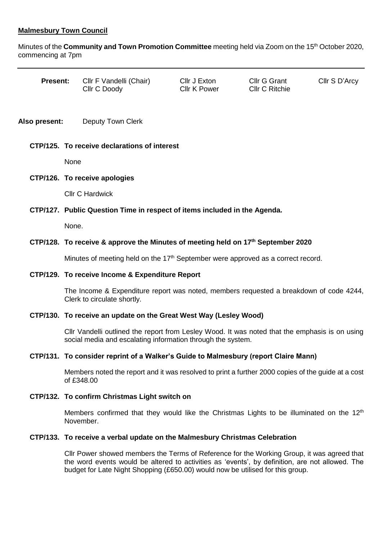## **Malmesbury Town Council**

Minutes of the **Community and Town Promotion Committee** meeting held via Zoom on the 15th October 2020, commencing at 7pm

| <b>Present:</b> | CIIr F Vandelli (Chair)<br>Cllr C Doody | Cllr J Exton<br>Cllr K Power | <b>Cllr G Grant</b><br><b>CIIr C Ritchie</b> | Cllr S D'Arcy |
|-----------------|-----------------------------------------|------------------------------|----------------------------------------------|---------------|
|-----------------|-----------------------------------------|------------------------------|----------------------------------------------|---------------|

**Also present:** Deputy Town Clerk

### **CTP/125. To receive declarations of interest**

None

### **CTP/126. To receive apologies**

Cllr C Hardwick

# **CTP/127. Public Question Time in respect of items included in the Agenda.**

None.

### **CTP/128. To receive & approve the Minutes of meeting held on 17th September 2020**

Minutes of meeting held on the 17<sup>th</sup> September were approved as a correct record.

### **CTP/129. To receive Income & Expenditure Report**

The Income & Expenditure report was noted, members requested a breakdown of code 4244, Clerk to circulate shortly.

### **CTP/130. To receive an update on the Great West Way (Lesley Wood)**

Cllr Vandelli outlined the report from Lesley Wood. It was noted that the emphasis is on using social media and escalating information through the system.

## **CTP/131. To consider reprint of a Walker's Guide to Malmesbury (report Claire Mann)**

Members noted the report and it was resolved to print a further 2000 copies of the guide at a cost of £348.00

### **CTP/132. To confirm Christmas Light switch on**

Members confirmed that they would like the Christmas Lights to be illuminated on the  $12<sup>th</sup>$ November.

### **CTP/133. To receive a verbal update on the Malmesbury Christmas Celebration**

Cllr Power showed members the Terms of Reference for the Working Group, it was agreed that the word events would be altered to activities as 'events', by definition, are not allowed. The budget for Late Night Shopping (£650.00) would now be utilised for this group.